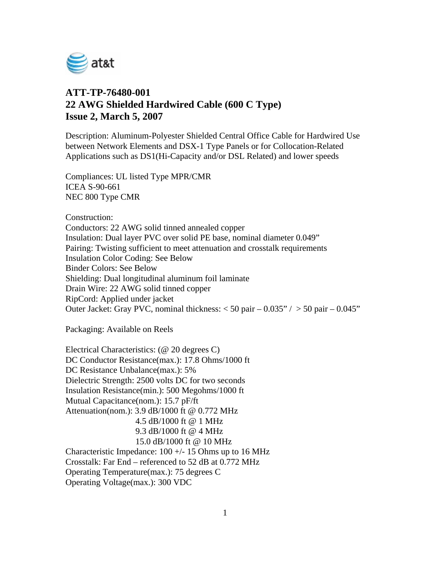

## **ATT-TP-76480-001 22 AWG Shielded Hardwired Cable (600 C Type) Issue 2, March 5, 2007**

Description: Aluminum-Polyester Shielded Central Office Cable for Hardwired Use between Network Elements and DSX-1 Type Panels or for Collocation-Related Applications such as DS1(Hi-Capacity and/or DSL Related) and lower speeds

Compliances: UL listed Type MPR/CMR ICEA S-90-661 NEC 800 Type CMR

Construction:

Conductors: 22 AWG solid tinned annealed copper Insulation: Dual layer PVC over solid PE base, nominal diameter 0.049" Pairing: Twisting sufficient to meet attenuation and crosstalk requirements Insulation Color Coding: See Below Binder Colors: See Below Shielding: Dual longitudinal aluminum foil laminate Drain Wire: 22 AWG solid tinned copper RipCord: Applied under jacket Outer Jacket: Gray PVC, nominal thickness:  $<$  50 pair – 0.035" /  $>$  50 pair – 0.045"

Packaging: Available on Reels

Electrical Characteristics: (@ 20 degrees C) DC Conductor Resistance(max.): 17.8 Ohms/1000 ft DC Resistance Unbalance(max.): 5% Dielectric Strength: 2500 volts DC for two seconds Insulation Resistance(min.): 500 Megohms/1000 ft Mutual Capacitance(nom.): 15.7 pF/ft Attenuation(nom.): 3.9 dB/1000 ft @ 0.772 MHz 4.5 dB/1000 ft @ 1 MHz 9.3 dB/1000 ft @ 4 MHz 15.0 dB/1000 ft @ 10 MHz Characteristic Impedance:  $100 +/- 15$  Ohms up to 16 MHz Crosstalk: Far End – referenced to 52 dB at 0.772 MHz Operating Temperature(max.): 75 degrees C Operating Voltage(max.): 300 VDC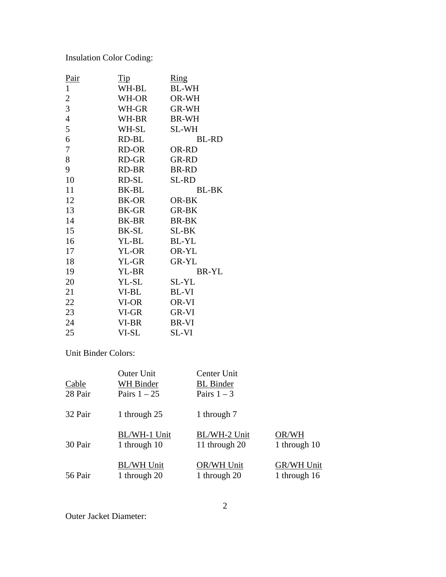Insulation Color Coding:

| <u>Pair</u>      | Tip   | $\frac{\text{Ring}}{\text{Sing}}$ |
|------------------|-------|-----------------------------------|
| $\mathbf{1}$     | WH-BL | <b>BL-WH</b>                      |
| $\boldsymbol{2}$ | WH-OR | OR-WH                             |
| 3                | WH-GR | GR-WH                             |
| $\overline{4}$   | WH-BR | <b>BR-WH</b>                      |
| 5                | WH-SL | <b>SL-WH</b>                      |
| 6                | RD-BL | <b>BL-RD</b>                      |
| $\overline{7}$   | RD-OR | OR-RD                             |
| 8                | RD-GR | <b>GR-RD</b>                      |
| 9                | RD-BR | <b>BR-RD</b>                      |
| 10               | RD-SL | <b>SL-RD</b>                      |
| 11               | BK-BL | BL-BK                             |
| 12               | BK-OR | OR-BK                             |
| 13               | BK-GR | <b>GR-BK</b>                      |
| 14               | BK-BR | <b>BR-BK</b>                      |
| 15               | BK-SL | SL-BK                             |
| 16               | YL-BL | BL-YL                             |
| 17               | YL-OR | OR-YL                             |
| 18               | YL-GR | <b>GR-YL</b>                      |
| 19               | YL-BR | <b>BR-YL</b>                      |
| 20               | YL-SL | SL-YL                             |
| 21               | VI-BL | <b>BL-VI</b>                      |
| 22               | VI-OR | OR-VI                             |
| 23               | VI-GR | GR-VI                             |
| 24               | VI-BR | BR-VI                             |
| 25               | VI-SL | SL-VI                             |

Unit Binder Colors:

| Cable<br>28 Pair | <b>Outer Unit</b><br>WH Binder<br>Pairs $1 - 25$ | <b>Center Unit</b><br><b>BL</b> Binder<br>Pairs $1-3$ |                   |
|------------------|--------------------------------------------------|-------------------------------------------------------|-------------------|
| 32 Pair          | 1 through 25                                     | 1 through 7                                           |                   |
| 30 Pair          | BL/WH-1 Unit                                     | BL/WH-2 Unit                                          | OR/WH             |
|                  | 1 through 10                                     | 11 through 20                                         | 1 through 10      |
| 56 Pair          | <b>BL/WH Unit</b>                                | OR/WH Unit                                            | <b>GR/WH Unit</b> |
|                  | 1 through 20                                     | 1 through 20                                          | 1 through 16      |

Outer Jacket Diameter: